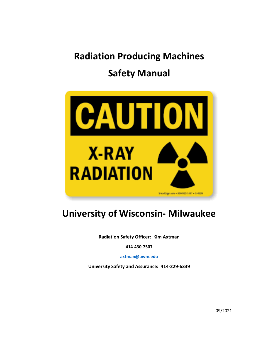# **Radiation Producing Machines Safety Manual**



## **University of Wisconsin- Milwaukee**

**Radiation Safety Officer: Kim Axtman**

**414-430-7507**

**[axtman@uwm.edu](mailto:axtman@uwm.edu)**

**University Safety and Assurance: 414-229-6339**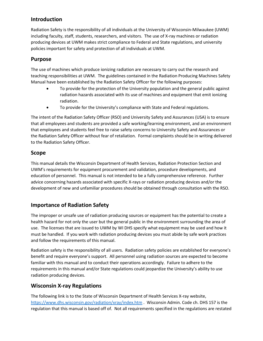## **Introduction**

Radiation Safety is the responsibility of all individuals at the University of Wisconsin-Milwaukee (UWM) including faculty, staff, students, researchers, and visitors. The use of X-ray machines or radiation producing devices at UWM makes strict compliance to Federal and State regulations, and university policies important for safety and protection of all individuals at UWM.

#### **Purpose**

The use of machines which produce ionizing radiation are necessary to carry out the research and teaching responsibilities at UWM. The guidelines contained in the Radiation Producing Machines Safety Manual have been established by the Radiation Safety Officer for the following purposes:

- To provide for the protection of the University population and the general public against radiation hazards associated with its use of machines and equipment that emit ionizing radiation.
- To provide for the University's compliance with State and Federal regulations.

The intent of the Radiation Safety Officer (RSO) and University Safety and Assurances (USA) is to ensure that all employees and students are provided a safe working/learning environment, and an environment that employees and students feel free to raise safety concerns to University Safety and Assurances or the Radiation Safety Officer without fear of retaliation. Formal complaints should be in writing delivered to the Radiation Safety Officer.

## **Scope**

This manual details the Wisconsin Department of Health Services, Radiation Protection Section and UWM's requirements for equipment procurement and validation, procedure developments, and education of personnel. This manual is not intended to be a fully comprehensive reference. Further advice concerning hazards associated with specific X-rays or radiation producing devices and/or the development of new and unfamiliar procedures should be obtained through consultation with the RSO.

## **Importance of Radiation Safety**

The improper or unsafe use of radiation producing sources or equipment has the potential to create a health hazard for not only the user but the general public in the environment surrounding the area of use. The licenses that are issued to UWM by WI DHS specify what equipment may be used and how it must be handled. If you work with radiation producing devices you must abide by safe work practices and follow the requirements of this manual.

Radiation safety is the responsibility of all users. Radiation safety policies are established for everyone's benefit and require everyone's support. All personnel using radiation sources are expected to become familiar with this manual and to conduct their operations accordingly. Failure to adhere to the requirements in this manual and/or State regulations could jeopardize the University's ability to use radiation producing devices.

## **Wisconsin X-ray Regulations**

The following link is to the State of Wisconsin Department of Health Services X-ray website, <https://www.dhs.wisconsin.gov/radiation/xray/index.htm> . Wisconsin Admin. Code ch. DHS 157 is the regulation that this manual is based off of. Not all requirements specified in the regulations are restated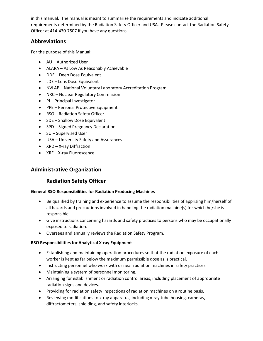in this manual. The manual is meant to summarize the requirements and indicate additional requirements determined by the Radiation Safety Officer and USA. Please contact the Radiation Safety Officer at 414-430-7507 if you have any questions.

#### **Abbreviations**

For the purpose of this Manual:

- AU Authorized User
- ALARA As Low As Reasonably Achievable
- DDE Deep Dose Equivalent
- LDE Lens Dose Equivalent
- NVLAP National Voluntary Laboratory Accreditation Program
- NRC Nuclear Regulatory Commission
- PI Principal Investigator
- PPE Personal Protective Equipment
- RSO Radiation Safety Officer
- SDE Shallow Dose Equivalent
- SPD Signed Pregnancy Declaration
- SU Supervised User
- USA University Safety and Assurances
- XRD X-ray Diffraction
- XRF X-ray Fluorescence

#### **Administrative Organization**

## **Radiation Safety Officer**

#### **General RSO Responsibilities for Radiation Producing Machines**

- Be qualified by training and experience to assume the responsibilities of apprising him/herself of all hazards and precautions involved in handling the radiation machine(s) for which he/she is responsible.
- Give instructions concerning hazards and safety practices to persons who may be occupationally exposed to radiation.
- Oversees and annually reviews the Radiation Safety Program.

#### **RSO Responsibilities for Analytical X-ray Equipment**

- Establishing and maintaining operation procedures so that the radiation exposure of each worker is kept as far below the maximum permissible dose as is practical.
- Instructing personnel who work with or near radiation machines in safety practices.
- Maintaining a system of personnel monitoring.
- Arranging for establishment or radiation control areas, including placement of appropriate radiation signs and devices.
- Providing for radiation safety inspections of radiation machines on a routine basis.
- Reviewing modifications to x-ray apparatus, including x-ray tube housing, cameras, diffractometers, shielding, and safety interlocks.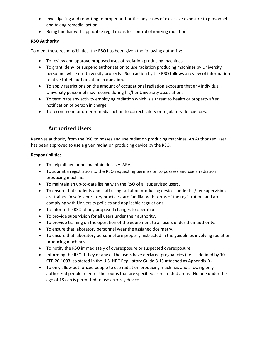- Investigating and reporting to proper authorities any cases of excessive exposure to personnel and taking remedial action.
- Being familiar with applicable regulations for control of ionizing radiation.

#### **RSO Authority**

To meet these responsibilities, the RSO has been given the following authority:

- To review and approve proposed uses of radiation producing machines.
- To grant, deny, or suspend authorization to use radiation producing machines by University personnel while on University property. Such action by the RSO follows a review of information relative tot eh authorization in question.
- To apply restrictions on the amount of occupational radiation exposure that any individual University personnel may receive during his/her University association.
- To terminate any activity employing radiation which is a threat to health or property after notification of person in charge.
- To recommend or order remedial action to correct safety or regulatory deficiencies.

## **Authorized Users**

Receives authority from the RSO to posses and use radiation producing machines. An Authorized User has been approved to use a given radiation producing device by the RSO.

#### **Responsibilities**

- To help all personnel maintain doses ALARA.
- To submit a registration to the RSO requesting permission to possess and use a radiation producing machine.
- To maintain an up-to-date listing with the RSO of all supervised users.
- To ensure that students and staff using radiation producing devices under his/her supervision are trained in safe laboratory practices, are familiar with terms of the registration, and are complying with University policies and applicable regulations.
- To inform the RSO of any proposed changes to operations.
- To provide supervision for all users under their authority.
- To provide training on the operation of the equipment to all users under their authority.
- To ensure that laboratory personnel wear the assigned dosimetry.
- To ensure that laboratory personnel are properly instructed in the guidelines involving radiation producing machines.
- To notify the RSO immediately of overexposure or suspected overexposure.
- Informing the RSO if they or any of the users have declared pregnancies (i.e. as defined by 10 CFR 20.1003, so stated in the U.S. NRC Regulatory Guide 8.13 attached as Appendix D).
- To only allow authorized people to use radiation producing machines and allowing only authorized people to enter the rooms that are specified as restricted areas. No one under the age of 18 can is permitted to use an x-ray device.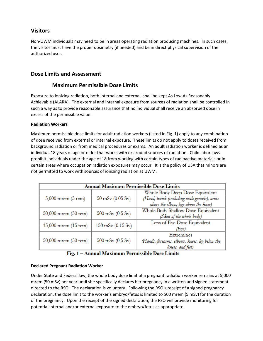#### **Visitors**

Non-UWM individuals may need to be in areas operating radiation producing machines. In such cases, the visitor must have the proper dosimetry (if needed) and be in direct physical supervision of the authorized user.

#### **Dose Limits and Assessment**

#### **Maximum Permissible Dose Limits**

Exposure to ionizing radiation, both internal and external, shall be kept As Low As Reasonably Achievable (ALARA). The external and internal exposure from sources of radiation shall be controlled in such a way as to provide reasonable assurance that no individual shall receive an absorbed dose in excess of the permissible value.

#### **Radiation Workers**

Maximum permissible dose limits for adult radiation workers (listed in Fig. 1) apply to any combination of dose received from external or internal exposure. These limits do not apply to doses received from background radiation or from medical procedures or exams. An adult radiation worker is defined as an individual 18 years of age or older that works with or around sources of radiation. Child labor laws prohibit individuals under the age of 18 from working with certain types of radioactive materials or in certain areas where occupation radiation exposures may occur. It is the policy of USA that minors are not permitted to work with sources of ionizing radiation at UWM.

|                        | Annual Maximum Permissible Dose Limits |                                                |  |  |
|------------------------|----------------------------------------|------------------------------------------------|--|--|
|                        |                                        | Whole Body Deep Dose Equivalent                |  |  |
| $5,000$ mrem $(5$ rem) | $50 \text{ mSv} (0.05 \text{ Sv})$     | (Head, trunk (including male gonads), arms     |  |  |
|                        |                                        | above the elbow, legs above the knee)          |  |  |
|                        | $500$ mSv $(0.5 Sv)$                   | Whole Body Shallow Dose Equivalent             |  |  |
| 50,000 mrem (50 rem)   |                                        | (Skin of the whole body)                       |  |  |
| 15,000 mrem (15 rem)   | $150$ mSv $(0.15$ Sv)                  | Lens of Eye Dose Equivalent                    |  |  |
|                        |                                        | (Eye)                                          |  |  |
|                        |                                        | Extremities                                    |  |  |
| 50,000 mrem (50 rem)   | $500$ mSv $(0.5 Sv)$                   | (Hands, forearms, elbows, knees, leg below the |  |  |
|                        |                                        | knees, and feet)                               |  |  |



#### **Declared Pregnant Radiation Worker**

Under State and Federal law, the whole body dose limit of a pregnant radiation worker remains at 5,000 mrem (50 mSv) per year until she specifically declares her pregnancy in a written and signed statement directed to the RSO. The declaration is voluntary. Following the RSO's receipt of a signed pregnancy declaration, the dose limit to the worker's embryo/fetus is limited to 500 mrem (5 mSv) for the duration of the pregnancy. Upon the receipt of the signed declaration, the RSO will provide monitoring for potential internal and/or external exposure to the embryo/fetus as appropriate.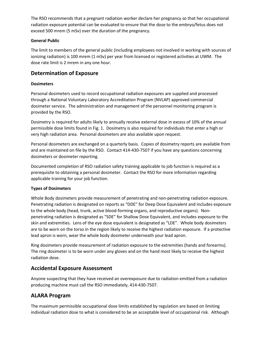The RSO recommends that a pregnant radiation worker declare her pregnancy so that her occupational radiation exposure potential can be evaluated to ensure that the dose to the embryo/fetus does not exceed 500 mrem (5 mSv) over the duration of the pregnancy.

#### **General Public**

The limit to members of the general public (including employees not involved in working with sources of ionizing radiation) is 100 mrem (1 mSv) per year from licensed or registered activities at UWM. The dose rate limit is 2 mrem in any one hour.

#### **Determination of Exposure**

#### **Dosimeters**

Personal dosimeters used to record occupational radiation exposures are supplied and processed through a National Voluntary Laboratory Accreditation Program (NVLAP) approved commercial dosimeter service. The administration and management of the personnel monitoring program is provided by the RSO.

Dosimetry is required for adults likely to annually receive external dose in excess of 10% of the annual permissible dose limits found in Fig. 1. Dosimetry is also required for individuals that enter a high or very high radiation area. Personal dosimeters are also available upon request.

Personal dosimeters are exchanged on a quarterly basis. Copies of dosimetry reports are available from and are maintained on file by the RSO. Contact 414-430-7507 if you have any questions concerning dosimeters or dosimeter reporting.

Documented completion of RSO radiation safety training applicable to job function is required as a prerequisite to obtaining a personal dosimeter. Contact the RSO for more information regarding applicable training for your job function.

#### **Types of Dosimeters**

Whole Body dosimeters provide measurement of penetrating and non-penetrating radiation exposure. Penetrating radiation is designated on reports as "DDE" for Deep Dose Equivalent and includes exposure to the whole body (head, trunk, active blood-forming organs, and reproductive organs). Nonpenetrating radiation is designated as "SDE" for Shallow Dose Equivalent, and includes exposure to the skin and extremities. Lens of the eye dose equivalent is designated as "LDE". Whole body dosimeters are to be worn on the torso in the region likely to receive the highest radiation exposure. If a protective lead apron is worn, wear the whole body dosimeter underneath your lead apron.

Ring dosimeters provide measurement of radiation exposure to the extremities (hands and forearms). The ring dosimeter is to be worn under any gloves and on the hand most likely to receive the highest radiation dose.

#### **Accidental Exposure Assessment**

Anyone suspecting that they have received an overexposure due to radiation emitted from a radiation producing machine must call the RSO immediately, 414-430-7507.

## **ALARA Program**

The maximum permissible occupational dose limits established by regulation are based on limiting individual radiation dose to what is considered to be an acceptable level of occupational risk. Although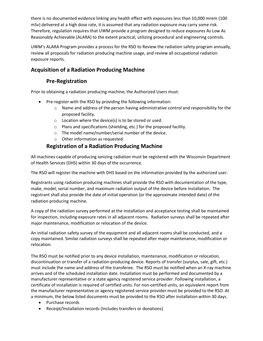there is no documented evidence linking any health effect with exposures less than 10,000 mrem (100 mSv) delivered at a high dose rate, it is assumed that any radiation exposure may carry some risk. Therefore, regulation requires that UWM provide a program designed to reduce exposures As Low As Reasonably Achievable (ALARA) to the extent practical, utilizing procedural and engineering controls.

UWM's ALARA Program provides a process for the RSO to Review the radiation safety program annually, review all proposals for radiation producing machine usage, and review all occupational radiation exposure reports.

## **Acquisition of a Radiation Producing Machine**

## **Pre-Registration**

Prior to obtaining a radiation producing machine, the Authorized Users must:

- Pre-register with the RSO by providing the following information:
	- $\circ$  Name and address of the person having administrative control and responsibility for the proposed facility.
	- o Location where the device(s) is to be stored or used.
	- o Plans and specifications (shielding, etc.) for the proposed facility.
	- o The model name/number/serial number of the device.
	- o Other information as requested.

## **Registration of a Radiation Producing Machine**

All machines capable of producing ionizing radiation must be registered with the Wisconsin Department of Health Services (DHS) within 30 days of the occurrence.

The RSO will register the machine with DHS based on the information provided by the authorized user.

Registrants using radiation producing machines shall provide the RSO with documentation of the type, make, model, serial number, and maximum radiation output of the device before installation. The registrant shall also provide the date of initial operation (or the approximate intended date) of the radiation producing machine.

A copy of the radiation survey performed at the installation and acceptance testing shall be maintained for inspection, including exposure rates in all adjacent rooms. Radiation surveys shall be repeated after major maintenance, modification or relocation of the device.

An initial radiation safety survey of the equipment and all adjacent rooms shall be conducted, and a copy maintained. Similar radiation surveys shall be repeated after major maintenance, modification or relocation.

The RSO must be notified prior to any device installation, maintenance, modification or relocation, discontinuation or transfer of a radiation-producing device. Reports of transfer (surplus, sale, gift, etc.) must include the name and address of the transferee. The RSO must be notified when an X-ray machine arrives and of the scheduled installation date. Installation must be performed and documented by a manufacturer representative or a state agency registered service provider. Following installation, a certificate of installation is required of certified units. For non-certified units, an equivalent report from the manufacturer representative or agency registered service provider must be provided to the RSO. At a minimum, the below listed documents must be provided to the RSO after installation within 30 days.

- Purchase records
- Receipt/Installation records (Includes transfers or donations)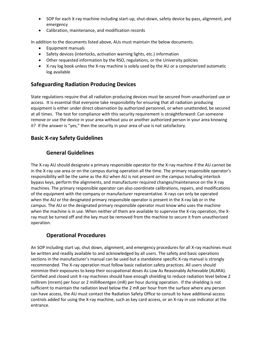- SOP for each X-ray machine including start-up, shut-down, safety device by-pass, alignment, and emergency
- Calibration, maintenance, and modification records

In addition to the documents listed above, AUs must maintain the below documents.

- Equipment manuals
- Safety devices (interlocks, activation warning lights, etc.) information
- Other requested information by the RSO, regulations, or the University policies
- X-ray log book unless the X-ray machine is solely used by the AU or a computerized automatic log available

## **Safeguarding Radiation Producing Devices**

State regulations require that all radiation producing devices must be secured from unauthorized use or access. It is essential that everyone take responsibility for ensuring that all radiation producing equipment is either under direct observation by authorized personnel, or when unattended, be secured at all times. The test for compliance with this security requirement is straightforward: Can someone remove or use the device in your area without you or another authorized person in your area knowing it? If the answer is "yes," then the security in your area of use is not satisfactory.

## **Basic X-ray Safety Guidelines**

## **General Guidelines**

The X-ray AU should designate a primary responsible operator for the X-ray machine if the AU cannot be in the X-ray use area or on the campus during operation all the time. The primary responsible operator's responsibility will be the same as the AU when AU is not present on the campus including interlock bypass keys, perform the alignments, and manufacturer required changes/maintenance on the X-ray machines. The primary responsible operator can also coordinate calibrations, repairs, and modifications of the equipment with the company or manufacturer representative. X-rays can only be operated when the AU or the designated primary responsible operator is present in the X-ray lab or in the campus. The AU or the designated primary responsible operator must know who uses the machine when the machine is in use. When neither of them are available to supervise the X-ray operation, the Xray must be turned off and the key must be removed from the machine to secure it from unauthorized operation.

## **Operational Procedures**

An SOP including start up, shut down, alignment, and emergency procedures for all X-ray machines must be written and readily available to and acknowledged by all users. The safety and basic operations sections in the manufacturer's manual can be used but a standalone specific X-ray manual is strongly recommended. The X-ray operation must follow basic radiation safety practices. All users should minimize their exposures to keep their occupational doses As Low As Reasonably Achievable (ALARA). Certified and closed unit X-ray machines should have enough shielding to reduce radiation level below 2 millirem (mrem) per hour or 2 milliRoentgen (mR) per hour during operation. If the shielding is not sufficient to maintain the radiation level below the 2 mR per hour from the surface where any person can have access, the AU must contact the Radiation Safety Office to consult to have additional access controls added for using the X-ray machine, such as key card access, or an X-ray in use indicator at the entrance.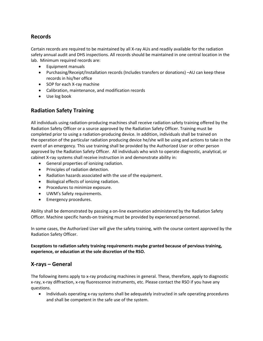#### **Records**

Certain records are required to be maintained by all X-ray AUs and readily available for the radiation safety annual audit and DHS inspections. All records should be maintained in one central location in the lab. Minimum required records are:

- Equipment manuals
- Purchasing/Receipt/Installation records (Includes transfers or donations) –AU can keep these records in his/her office
- SOP for each X-ray machine
- Calibration, maintenance, and modification records
- Use log book

## **Radiation Safety Training**

All individuals using radiation-producing machines shall receive radiation safety training offered by the Radiation Safety Officer or a source approved by the Radiation Safety Officer. Training must be completed prior to using a radiation-producing device. In addition, individuals shall be trained on the operation of the particular radiation producing device he/she will be using and actions to take in the event of an emergency. This use training shall be provided by the Authorized User or other person approved by the Radiation Safety Officer. All individuals who wish to operate diagnostic, analytical, or cabinet X-ray systems shall receive instruction in and demonstrate ability in:

- General properties of ionizing radiation.
- Principles of radiation detection.
- Radiation hazards associated with the use of the equipment.
- Biological effects of ionizing radiation.
- Procedures to minimize exposure.
- UWM's Safety requirements.
- Emergency procedures.

Ability shall be demonstrated by passing a on-line examination administered by the Radiation Safety Officer. Machine specific hands-on training must be provided by experienced personnel.

In some cases, the Authorized User will give the safety training, with the course content approved by the Radiation Safety Officer.

**Exceptions to radiation safety training requirements maybe granted because of pervious training, experience, or education at the sole discretion of the RSO.** 

#### **X-rays – General**

The following items apply to x-ray producing machines in general. These, therefore, apply to diagnostic x-ray, x-ray diffraction, x-ray fluorescence instruments, etc. Please contact the RSO if you have any questions.

• Individuals operating x-ray systems shall be adequately instructed in safe operating procedures and shall be competent in the safe use of the system.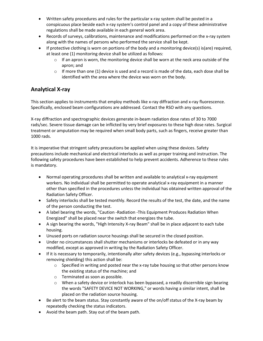- Written safety procedures and rules for the particular x-ray system shall be posted in a conspicuous place beside each x-ray system's control panel and a copy of these administrative regulations shall be made available in each general work area.
- Records of surveys, calibrations, maintenance and modifications performed on the x-ray system along with the names of persons who performed the service shall be kept.
- If protective clothing is worn on portions of the body and a monitoring device(s) is(are) required, at least one (1) monitoring device shall be utilized as follows:
	- $\circ$  If an apron is worn, the monitoring device shall be worn at the neck area outside of the apron; and
	- o If more than one (1) device is used and a record is made of the data, each dose shall be identified with the area where the device was worn on the body.

## **Analytical X-ray**

This section applies to instruments that employ methods like x-ray diffraction and x-ray fluorescence. Specifically, enclosed beam configurations are addressed. Contact the RSO with any questions.

X-ray diffraction and spectrographic devices generate in-beam radiation dose rates of 30 to 7000 rads/sec. Severe tissue damage can be inflicted by very brief exposures to these high dose rates. Surgical treatment or amputation may be required when small body parts, such as fingers, receive greater than 1000 rads.

It is imperative that stringent safety precautions be applied when using these devices. Safety precautions include mechanical and electrical interlocks as well as proper training and instruction. The following safety procedures have been established to help prevent accidents. Adherence to these rules is mandatory.

- Normal operating procedures shall be written and available to analytical x-ray equipment workers. No individual shall be permitted to operate analytical x-ray equipment in a manner other than specified in the procedures unless the individual has obtained written approval of the Radiation Safety Officer.
- Safety interlocks shall be tested monthly. Record the results of the test, the date, and the name of the person conducting the test.
- A label bearing the words, "Caution -Radiation -This Equipment Produces Radiation When Energized" shall be placed near the switch that energizes the tube.
- A sign bearing the words, "High Intensity X-ray Beam" shall be in place adjacent to each tube housing.
- Unused ports on radiation source housings shall be secured in the closed position.
- Under no circumstances shall shutter mechanisms or interlocks be defeated or in any way modified, except as approved in writing by the Radiation Safety Officer.
- If it is necessary to temporarily, intentionally alter safety devices (e.g., bypassing interlocks or removing shielding) this action shall be:
	- $\circ$  Specified in writing and posted near the x-ray tube housing so that other persons know the existing status of the machine; and
	- o Terminated as soon as possible.
	- $\circ$  When a safety device or interlock has been bypassed, a readily discernible sign bearing the words "SAFETY DEVICE NOT WORKING," or words having a similar intent, shall be placed on the radiation source housing.
- Be alert to the beam status. Stay constantly aware of the on/off status of the X-ray beam by repeatedly checking the status indicators.
- Avoid the beam path. Stay out of the beam path.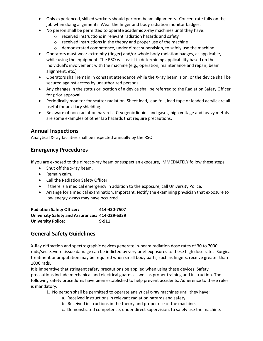- Only experienced, skilled workers should perform beam alignments. Concentrate fully on the job when doing alignments. Wear the finger and body radiation monitor badges.
- No person shall be permitted to operate academic X-ray machines until they have:
	- o received instructions in relevant radiation hazards and safety
	- o received instructions in the theory and proper use of the machine
	- o demonstrated competence, under direct supervision, to safely use the machine
- Operators must wear extremity (finger) and/or whole body radiation badges, as applicable, while using the equipment. The RSO will assist in determining applicability based on the individual's involvement with the machine (e.g., operation, maintenance and repair, beam alignment, etc.)
- Operators shall remain in constant attendance while the X-ray beam is on, or the device shall be secured against access by unauthorized persons.
- Any changes in the status or location of a device shall be referred to the Radiation Safety Officer for prior approval.
- Periodically monitor for scatter radiation. Sheet lead, lead foil, lead tape or leaded acrylic are all useful for auxiliary shielding.
- Be aware of non-radiation hazards. Cryogenic liquids and gases, high voltage and heavy metals are some examples of other lab hazards that require precautions.

#### **Annual Inspections**

Analytical X-ray facilities shall be inspected annually by the RSO.

## **Emergency Procedures**

If you are exposed to the direct x-ray beam or suspect an exposure, IMMEDIATELY follow these steps:

- Shut off the x-ray beam.
- Remain calm.
- Call the Radiation Safety Officer.
- If there is a medical emergency in addition to the exposure, call University Police.
- Arrange for a medical examination. Important: Notify the examining physician that exposure to low energy x-rays may have occurred.

**Radiation Safety Officer: 414-430-7507 University Safety and Assurances: 414-229-6339 University Police: 9-911**

## **General Safety Guidelines**

X-Ray diffraction and spectrographic devices generate in-beam radiation dose rates of 30 to 7000 rads/sec. Severe tissue damage can be inflicted by very brief exposures to these high dose rates. Surgical treatment or amputation may be required when small body parts, such as fingers, receive greater than 1000 rads.

It is imperative that stringent safety precautions be applied when using these devices. Safety precautions include mechanical and electrical guards as well as proper training and instruction. The following safety procedures have been established to help prevent accidents. Adherence to these rules is mandatory.

- 1. No person shall be permitted to operate analytical x-ray machines until they have:
	- a. Received instructions in relevant radiation hazards and safety.
	- b. Received instructions in the theory and proper use of the machine.
	- c. Demonstrated competence, under direct supervision, to safely use the machine.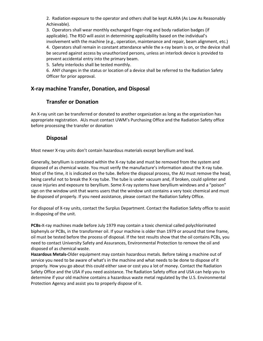2. Radiation exposure to the operator and others shall be kept ALARA (As Low As Reasonably Achievable).

3. Operators shall wear monthly exchanged finger-ring and body radiation badges (if applicable). The RSO will assist in determining applicability based on the individual's involvement with the machine (e.g., operation, maintenance and repair, beam alignment, etc.) 4. Operators shall remain in constant attendance while the x-ray beam is on, or the device shall be secured against access by unauthorized persons, unless an interlock device is provided to prevent accidental entry into the primary beam.

5. Safety interlocks shall be tested monthly.

6. ANY changes in the status or location of a device shall be referred to the Radiation Safety Officer for prior approval.

## **X-ray machine Transfer, Donation, and Disposal**

#### **Transfer or Donation**

An X-ray unit can be transferred or donated to another organization as long as the organization has appropriate registration. AUs must contact UWM's Purchasing Office and the Radiation Safety office before processing the transfer or donation

#### **Disposal**

Most newer X-ray units don't contain hazardous materials except beryllium and lead.

Generally, beryllium is contained within the X-ray tube and must be removed from the system and disposed of as chemical waste. You must verify the manufacture's information about the X-ray tube. Most of the time, it is indicated on the tube. Before the disposal process, the AU must remove the head, being careful not to break the X-ray tube. The tube is under vacuum and, if broken, could splinter and cause injuries and exposure to beryllium. Some X-ray systems have beryllium windows and a "poison" sign on the window unit that warns users that the window unit contains a very toxic chemical and must be disposed of properly. If you need assistance, please contact the Radiation Safety Office.

For disposal of X-ray units, contact the Surplus Department. Contact the Radiation Safety office to assist in disposing of the unit.

**PCBs-**X-ray machines made before July 1979 may contain a toxic chemical called polychlorinated biphenyls or PCBs, in the transformer oil. If your machine is older than 1979 or around that time frame, oil must be tested before the process of disposal. If the test results show that the oil contains PCBs, you need to contact University Safety and Assurances, Environmental Protection to remove the oil and disposed of as chemical waste.

**Hazardous Metals-**Older equipment may contain hazardous metals. Before taking a machine out of service you need to be aware of what's in the machine and what needs to be done to dispose of it properly. How you go about this could either save or cost you a lot of money. Contact the Radiation Safety Office and the USA if you need assistance. The Radiation Safety office and USA can help you to determine if your old machine contains a hazardous waste metal regulated by the U.S. Environmental Protection Agency and assist you to properly dispose of it.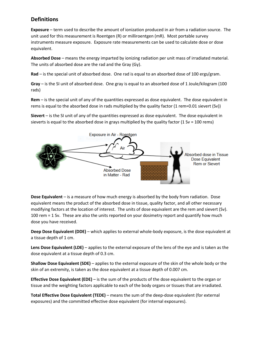#### **Definitions**

**Exposure** – term used to describe the amount of ionization produced in air from a radiation source. The unit used for this measurement is Roentgen (R) or milliroentgen (mR). Most portable survey instruments measure exposure. Exposure rate measurements can be used to calculate dose or dose equivalent.

**Absorbed Dose** – means the energy imparted by ionizing radiation per unit mass of irradiated material. The units of absorbed dose are the rad and the Gray (Gy).

**Rad** – is the special unit of absorbed dose. One rad is equal to an absorbed dose of 100 ergs/gram.

**Gray** – is the SI unit of absorbed dose. One gray is equal to an absorbed dose of 1 Joule/kilogram (100 rads)

**Rem** – is the special unit of any of the quantities expressed as dose equivalent. The dose equivalent in rems is equal to the absorbed dose in rads multiplied by the quality factor (1 rem=0.01 sievert (Sv))

**Sievert** – is the SI unit of any of the quantities expressed as dose equivalent. The dose equivalent in sieverts is equal to the absorbed dose in grays multiplied by the quality factor (1 Sv = 100 rems)



**Dose Equivalent** – is a measure of how much energy is absorbed by the body from radiation. Dose equivalent means the product of the absorbed dose in tissue, quality factor, and all other necessary modifying factors at the location of interest. The units of dose equivalent are the rem and sievert (Sv). 100 rem = 1 Sv. These are also the units reported on your dosimetry report and quantify how much dose you have received.

**Deep Dose Equivalent (DDE)** – which applies to external whole-body exposure, is the dose equivalent at a tissue depth of 1 cm.

**Lens Dose Equivalent (LDE)** – applies to the external exposure of the lens of the eye and is taken as the dose equivalent at a tissue depth of 0.3 cm.

**Shallow Dose Equivalent (SDE)** – applies to the external exposure of the skin of the whole body or the skin of an extremity, is taken as the dose equivalent at a tissue depth of 0.007 cm.

**Effective Dose Equivalent (EDE)** – is the sum of the products of the dose equivalent to the organ or tissue and the weighting factors applicable to each of the body organs or tissues that are irradiated.

**Total Effective Dose Equivalent (TEDE)** – means the sum of the deep-dose equivalent (for external exposures) and the committed effective dose equivalent (for internal exposures).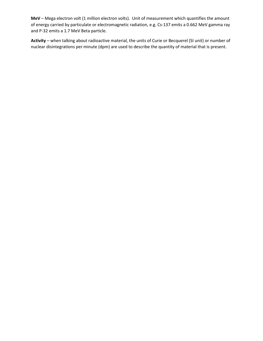**MeV** – Mega electron volt (1 million electron volts). Unit of measurement which quantifies the amount of energy carried by particulate or electromagnetic radiation, e.g. Cs-137 emits a 0.662 MeV gamma ray and P-32 emits a 1.7 MeV Beta particle.

**Activity** – when talking about radioactive material, the units of Curie or Becquerel (SI unit) or number of nuclear disintegrations per minute (dpm) are used to describe the quantity of material that is present.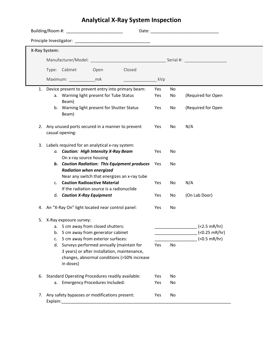## **Analytical X-Ray System Inspection**

|    | <b>X-Ray System:</b> |                           |                                                                                          |                                                       |     |    |                              |
|----|----------------------|---------------------------|------------------------------------------------------------------------------------------|-------------------------------------------------------|-----|----|------------------------------|
|    |                      |                           |                                                                                          |                                                       |     |    |                              |
|    |                      | Type: Cabinet             | Open                                                                                     | Closed                                                |     |    |                              |
|    |                      | Maximum: mA               |                                                                                          |                                                       | kVp |    |                              |
|    |                      |                           |                                                                                          | 1. Device present to prevent entry into primary beam: | Yes | No |                              |
|    |                      | Beam)                     | a. Warning light present for Tube Status                                                 |                                                       | Yes | No | (Required for Open           |
|    |                      | Beam)                     | b. Warning light present for Shutter Status                                              |                                                       | Yes | No | (Required for Open           |
|    |                      | casual opening:           | 2. Any unused ports secured in a manner to prevent                                       |                                                       | Yes | No | N/A                          |
| 3. |                      |                           | Labels required for an analytical x-ray system:                                          |                                                       |     |    |                              |
|    |                      |                           | a. Caution: High Intensity X-Ray Beam<br>On x-ray source housing                         |                                                       | Yes | No |                              |
|    |                      |                           | <b>Radiation when energized</b>                                                          | b. Caution Radiation: This Equipment produces         | Yes | No |                              |
|    | C.                   |                           | <b>Caution Radioactive Material</b>                                                      | Near any switch that energizes an x-ray tube          | Yes | No | N/A                          |
|    |                      |                           | If the radiation source is a radionuclide<br>d. Caution X-Ray Equipment                  |                                                       | Yes | No | (On Lab Door)                |
|    |                      |                           | 4. An "X-Ray On" light located near control panel:                                       |                                                       | Yes | No |                              |
|    |                      | 5. X-Ray exposure survey: |                                                                                          |                                                       |     |    |                              |
|    |                      |                           | a. 5 cm away from closed shutters:                                                       |                                                       |     |    | (2.5 mR/hr)                  |
|    | b.                   |                           | 5 cm away from generator cabinet                                                         |                                                       |     |    | $($ $0.25 \, \text{mR/hr}$ ) |
|    | c.                   |                           | 5 cm away from exterior surfaces:                                                        |                                                       |     |    | $($ $0.5 \, \text{mR/hr})$   |
|    | d.                   |                           | Surveys performed annually (maintain for<br>3 years) or after installation, maintenance, |                                                       | Yes | No |                              |
|    |                      | in doses)                 |                                                                                          | changes, abnormal conditions (>50% increase           |     |    |                              |
| 6. |                      |                           | <b>Standard Operating Procedures readily available:</b>                                  |                                                       | Yes | No |                              |
|    |                      |                           | a. Emergency Procedures Included:                                                        |                                                       | Yes | No |                              |
|    | Explain:             |                           | 7. Any safety bypasses or modifications present:                                         |                                                       | Yes | No |                              |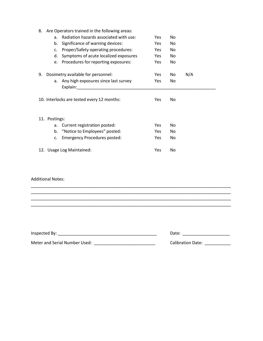| 8.                                         |                                                                              | Are Operators trained in the following areas:                                                                                                                                                                                  |            |     |     |  |
|--------------------------------------------|------------------------------------------------------------------------------|--------------------------------------------------------------------------------------------------------------------------------------------------------------------------------------------------------------------------------|------------|-----|-----|--|
|                                            | Radiation hazards associated with use:<br><b>Yes</b><br>No<br>a <sub>x</sub> |                                                                                                                                                                                                                                |            |     |     |  |
|                                            | b.                                                                           | Significance of warning devices:                                                                                                                                                                                               | Yes        | No  |     |  |
|                                            | c.                                                                           | Proper/Safety operating procedures:                                                                                                                                                                                            | Yes.       | No  |     |  |
|                                            | d.                                                                           | Symptoms of acute localized exposures                                                                                                                                                                                          | Yes        | No  |     |  |
|                                            | e.                                                                           | Procedures for reporting exposures:                                                                                                                                                                                            | <b>Yes</b> | No  |     |  |
| 9.                                         |                                                                              | Dosimetry available for personnel:                                                                                                                                                                                             | <b>Yes</b> | No. | N/A |  |
|                                            | a.                                                                           | Any high exposures since last survey                                                                                                                                                                                           | Yes        | No  |     |  |
|                                            |                                                                              | Explain: The contract of the contract of the contract of the contract of the contract of the contract of the contract of the contract of the contract of the contract of the contract of the contract of the contract of the c |            |     |     |  |
| 10. Interlocks are tested every 12 months: |                                                                              |                                                                                                                                                                                                                                | <b>Yes</b> | No  |     |  |
|                                            |                                                                              |                                                                                                                                                                                                                                |            |     |     |  |
|                                            | 11. Postings:                                                                |                                                                                                                                                                                                                                |            |     |     |  |
|                                            | a.                                                                           | Current registration posted:                                                                                                                                                                                                   | <b>Yes</b> | No. |     |  |
|                                            | b.                                                                           | <b>Yes</b>                                                                                                                                                                                                                     | No.        |     |     |  |
|                                            | c.                                                                           | <b>Emergency Procedures posted:</b>                                                                                                                                                                                            | <b>Yes</b> | No  |     |  |
|                                            |                                                                              | 12. Usage Log Maintained:                                                                                                                                                                                                      | Yes        | No  |     |  |

#### Additional Notes:

| Inspected By:                 | Date:                    |
|-------------------------------|--------------------------|
| Meter and Serial Number Used: | <b>Calibration Date:</b> |

\_\_\_\_\_\_\_\_\_\_\_\_\_\_\_\_\_\_\_\_\_\_\_\_\_\_\_\_\_\_\_\_\_\_\_\_\_\_\_\_\_\_\_\_\_\_\_\_\_\_\_\_\_\_\_\_\_\_\_\_\_\_\_\_\_\_\_\_\_\_\_\_\_\_\_\_\_\_\_\_\_\_\_\_\_

\_\_\_\_\_\_\_\_\_\_\_\_\_\_\_\_\_\_\_\_\_\_\_\_\_\_\_\_\_\_\_\_\_\_\_\_\_\_\_\_\_\_\_\_\_\_\_\_\_\_\_\_\_\_\_\_\_\_\_\_\_\_\_\_\_\_\_\_\_\_\_\_\_\_\_\_\_\_\_\_\_\_\_\_\_ \_\_\_\_\_\_\_\_\_\_\_\_\_\_\_\_\_\_\_\_\_\_\_\_\_\_\_\_\_\_\_\_\_\_\_\_\_\_\_\_\_\_\_\_\_\_\_\_\_\_\_\_\_\_\_\_\_\_\_\_\_\_\_\_\_\_\_\_\_\_\_\_\_\_\_\_\_\_\_\_\_\_\_\_\_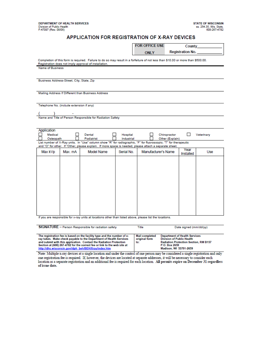#### APPLICATION FOR REGISTRATION OF X-RAY DEVICES

|                                           |         |                                                                                                                                                                                           |                        | <b>FOR OFFICE USE</b> |                                 |                         | <b>County County</b> |
|-------------------------------------------|---------|-------------------------------------------------------------------------------------------------------------------------------------------------------------------------------------------|------------------------|-----------------------|---------------------------------|-------------------------|----------------------|
|                                           |         |                                                                                                                                                                                           |                        | <b>ONLY</b>           |                                 | <b>Registration No.</b> |                      |
|                                           |         | Completion of this form is required. Failure to do so may result in a forfeiture of not less than \$10.00 or more than \$500.00.<br>Registration does not imply approval of installation. |                        |                       |                                 |                         |                      |
| <b>Name of Business</b>                   |         |                                                                                                                                                                                           |                        |                       |                                 |                         |                      |
|                                           |         |                                                                                                                                                                                           |                        |                       |                                 |                         |                      |
| Business Address-Street, City, State, Zip |         |                                                                                                                                                                                           |                        |                       |                                 |                         |                      |
|                                           |         |                                                                                                                                                                                           |                        |                       |                                 |                         |                      |
|                                           |         | Mailing Address If Different than Business Address                                                                                                                                        |                        |                       |                                 |                         |                      |
|                                           |         |                                                                                                                                                                                           |                        |                       |                                 |                         |                      |
| Telephone No. (include extension if any)  |         |                                                                                                                                                                                           |                        |                       |                                 |                         |                      |
|                                           |         |                                                                                                                                                                                           |                        |                       |                                 |                         |                      |
|                                           |         | Name and Title of Person Responsible for Radiation Safety                                                                                                                                 |                        |                       |                                 |                         |                      |
|                                           |         |                                                                                                                                                                                           |                        |                       |                                 |                         |                      |
| Application                               |         |                                                                                                                                                                                           |                        |                       |                                 |                         |                      |
| Medical<br>Osteopath                      |         | Dental<br>Podiatrist                                                                                                                                                                      | Hospital<br>Industrial |                       | Chiropractor<br>Other (Explain) | П                       | Veterinary           |
|                                           |         | List number of X-Ray units. In "Use" column show "R" for radiographic, "F" for fluoroscopic; "T" for therapeutic                                                                          |                        |                       |                                 |                         |                      |
| Max kVp                                   | Max. mA | and "O" for other. If "Other, please explain. If more space is needed, please attach a separate sheet.<br>Model Name                                                                      | Serial No.             |                       | Manufacturer's Name             | Year                    | Use                  |
|                                           |         |                                                                                                                                                                                           |                        |                       |                                 | Installed               |                      |
|                                           |         |                                                                                                                                                                                           |                        |                       |                                 |                         |                      |
|                                           |         |                                                                                                                                                                                           |                        |                       |                                 |                         |                      |
|                                           |         |                                                                                                                                                                                           |                        |                       |                                 |                         |                      |
|                                           |         |                                                                                                                                                                                           |                        |                       |                                 |                         |                      |
|                                           |         |                                                                                                                                                                                           |                        |                       |                                 |                         |                      |
|                                           |         |                                                                                                                                                                                           |                        |                       |                                 |                         |                      |
|                                           |         |                                                                                                                                                                                           |                        |                       |                                 |                         |                      |
|                                           |         |                                                                                                                                                                                           |                        |                       |                                 |                         |                      |
|                                           |         |                                                                                                                                                                                           |                        |                       |                                 |                         |                      |
|                                           |         | If you are responsible for x-ray units at locations other than listed above, please list the locations.                                                                                   |                        |                       |                                 |                         |                      |
|                                           |         |                                                                                                                                                                                           |                        |                       |                                 |                         |                      |

| SIGNATURE - Person Responsible for radiation safety                                                                                                                                                                                                                                                                                                     | Title                                         | Date signed (mm/dd/yy)                                                                                                                                              |
|---------------------------------------------------------------------------------------------------------------------------------------------------------------------------------------------------------------------------------------------------------------------------------------------------------------------------------------------------------|-----------------------------------------------|---------------------------------------------------------------------------------------------------------------------------------------------------------------------|
| The registration fee is based on the facility type and the number of x-<br>ray tubes. Make check payable to the Department of Health Services<br>and submit with this application. Contact the Radiation Protection<br>Section at (608) 267-4782 for the correct fee or link to the web site at<br>http://dhs.wisconsin.gov//dph_beh/BEH/Xray/index.htm | <b>Mail completed</b><br>original form<br>to: | <b>Department of Health Services</b><br><b>Division of Public Health</b><br><b>Radiation Protection Section, RM B157</b><br>P.O. Box 2659<br>Madison, WI 53701-2659 |

Note: Multiple x-ray devices at a single location and under the control of one person may be considered a single registration and only one registration fee is required. If, however, the devices are located at separate addresses, it will be necessary to consider each location as a separate registration and an additional fee is required for each location. A of issue date.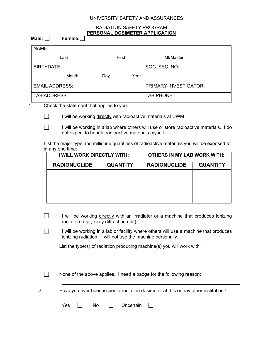#### UNIVERSITY SAFETY AND ASSURANCES

#### RADIATION SAFETY PROGRAM **PERSONAL DOSIMETER APPLICATION**

| Male: $\Box$ | Female: $\Box$                                                                                                                              | PERSONAL DOSIMETER APPLICATION                               |                                    |                 |  |  |
|--------------|---------------------------------------------------------------------------------------------------------------------------------------------|--------------------------------------------------------------|------------------------------------|-----------------|--|--|
| NAME:        |                                                                                                                                             |                                                              |                                    |                 |  |  |
|              | Last                                                                                                                                        | First                                                        | MI/Maiden                          |                 |  |  |
|              | <b>BIRTHDATE:</b>                                                                                                                           |                                                              | SOC. SEC. NO:                      |                 |  |  |
|              | Month                                                                                                                                       | Year<br>Day                                                  |                                    |                 |  |  |
|              | <b>EMAIL ADDRESS:</b>                                                                                                                       |                                                              | <b>PRIMARY INVESTIGATOR:</b>       |                 |  |  |
|              | <b>LAB ADDRESS:</b>                                                                                                                         |                                                              | <b>LAB PHONE:</b>                  |                 |  |  |
| 1.           | Check the statement that applies to you:                                                                                                    |                                                              |                                    |                 |  |  |
|              |                                                                                                                                             | I will be working directly with radioactive materials at UWM |                                    |                 |  |  |
|              | I will be working in a lab where others will use or store radioactive materials. I do<br>not expect to handle radioactive materials myself. |                                                              |                                    |                 |  |  |
|              | List the major type and millicurie quantities of radioactive materials you will be exposed to<br>in any one time:                           |                                                              |                                    |                 |  |  |
|              | <b>I WILL WORK DIRECTLY WITH:</b>                                                                                                           |                                                              | <b>OTHERS IN MY LAB WORK WITH:</b> |                 |  |  |
|              | <b>RADIONUCLIDE</b>                                                                                                                         | <b>QUANTITY</b>                                              | <b>RADIONUCLIDE</b>                | <b>QUANTITY</b> |  |  |
|              |                                                                                                                                             |                                                              |                                    |                 |  |  |
|              |                                                                                                                                             |                                                              |                                    |                 |  |  |

List the type(s) of radiation producing machine(s) you will work with:

ionizing radiation. I will not use the machine personally.

I will be working directly with an irradiator or a machine that produces ionizing

I will be working in a lab or facility where others will use a machine that produces

 $\Box$ 

 $\Box$ 

 $\Box$ 

 $\Box$ 

None of the above applies. I need a badge for the following reason:

2. Have you ever been issued a radiation dosimeter at this or any other institution?

| Yes |  |  | Uncertain |
|-----|--|--|-----------|
|-----|--|--|-----------|

radiation (e.g., x-ray diffraction unit).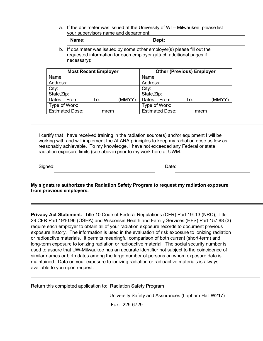a. If the dosimeter was issued at the University of WI – Milwaukee, please list your supervisors name and department:

| Name: | Dept: |  |
|-------|-------|--|
|-------|-------|--|

b. If dosimeter was issued by some other employer(s) please fill out the requested information for each employer (attach additional pages if necessary):

| <b>Most Recent Employer</b> |      |        | <b>Other (Previous) Employer</b> |      |        |  |
|-----------------------------|------|--------|----------------------------------|------|--------|--|
| Name:                       |      |        | Name:                            |      |        |  |
| Address:                    |      |        | Address:                         |      |        |  |
| City:                       |      |        | City:                            |      |        |  |
| State, Zip:                 |      |        | State, Zip:                      |      |        |  |
| Dates: From:                | To:  | (MMYY) | Dates: From:                     | To:  | (MMYY) |  |
| Type of Work:               |      |        | Type of Work:                    |      |        |  |
| <b>Estimated Dose:</b>      | mrem |        | <b>Estimated Dose:</b>           | mrem |        |  |

I certify that I have received training in the radiation source(s) and/or equipment I will be working with and will implement the ALARA principles to keep my radiation dose as low as reasonably achievable. To my knowledge, I have not exceeded any Federal or state radiation exposure limits (see above) prior to my work here at UWM.

Signed: **Date: Date: Date: Date: Date: Date: Date: Date: Date: Date: Date: Date: Date: Date: Date: Date: Date: Date: Date: Date: Date: Date: Date: Date: Date: Date: Date:** 

**My signature authorizes the Radiation Safety Program to request my radiation exposure from previous employers.**

**Privacy Act Statement:** Title 10 Code of Federal Regulations (CFR) Part 19l.13 (NRC), Title 29 CFR Part 1910.96 (OSHA) and Wisconsin Health and Family Services (HFS) Part 157.88 (3) require each employer to obtain all of your radiation exposure records to document previous exposure history. The information is used in the evaluation of risk exposure to ionizing radiation or radioactive materials. It permits meaningful comparison of both current (short-term) and long-term exposure to ionizing radiation or radioactive material. The social security number is used to assure that UW-Milwaukee has an accurate identifier not subject to the coincidence of similar names or birth dates among the large number of persons on whom exposure data is maintained. Data on your exposure to ionizing radiation or radioactive materials is always available to you upon request.

Return this completed application to: Radiation Safety Program

University Safety and Assurances (Lapham Hall W217)

Fax: 229-6729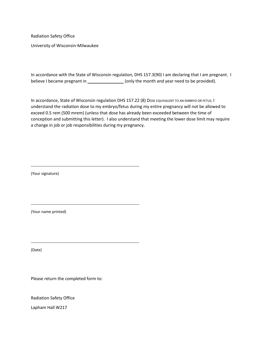Radiation Safety Office

University of Wisconsin-Milwaukee

In accordance with the State of Wisconsin regulation, DHS 157.3(90) I am declaring that I am pregnant. I believe I became pregnant in \_\_\_\_\_\_\_\_\_\_\_\_\_\_\_\_\_\_\_\_\_(only the month and year need to be provided).

In accordance, State of Wisconsin regulation DHS 157.22 (8) Dose EQUIVALENT TO AN EMBRYO OR FETUS, I understand the radiation dose to my embryo/fetus during my entire pregnancy will not be allowed to exceed 0.5 rem (500 mrem) (unless that dose has already been exceeded between the time of conception and submitting this letter). I also understand that meeting the lower dose limit may require a change in job or job responsibilities during my pregnancy.

(Your signature)

(Your name printed)

(Date)

Please return the completed form to:

Radiation Safety Office

Lapham Hall W217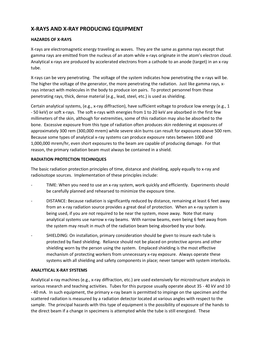## **X-RAYS AND X-RAY PRODUCING EQUIPMENT**

#### **HAZARDS OF X-RAYS**

X-rays are electromagnetic energy traveling as waves. They are the same as gamma rays except that gamma rays are emitted from the nucleus of an atom while x-rays originate in the atom's electron cloud. Analytical x-rays are produced by accelerated electrons from a cathode to an anode (target) in an x-ray tube.

X-rays can be very penetrating. The voltage of the system indicates how penetrating the x-rays will be. The higher the voltage of the generator, the more penetrating the radiation. Just like gamma rays, xrays interact with molecules in the body to produce ion pairs. To protect personnel from these penetrating rays, thick, dense material (e.g., lead, steel, etc.) is used as shielding.

Certain analytical systems, (e.g., x-ray diffraction), have sufficient voltage to produce low energy (e.g., 1 - 50 keV) or soft x-rays. The soft x-rays with energies from 1 to 20 keV are absorbed in the first few millimeters of the skin, although for extremities, some of this radiation may also be absorbed to the bone. Excessive exposure from this type of radiation often produces skin reddening at exposures of approximately 300 rem (300,000 mrem) while severe skin burns can result for exposures above 500 rem. Because some types of analytical x-ray systems can produce exposure rates between 1000 and 1,000,000 mrem/hr, even short exposures to the beam are capable of producing damage. For that reason, the primary radiation beam must always be contained in a shield.

#### **RADIATION PROTECTION TECHNIQUES**

The basic radiation protection principles of time, distance and shielding, apply equally to x-ray and radioisotope sources. Implementation of these principles include:

- TIME: When you need to use an x-ray system, work quickly and efficiently. Experiments should be carefully planned and rehearsed to minimize the exposure time.
- DISTANCE: Because radiation is significantly reduced by distance, remaining at least 6 feet away from an x-ray radiation source provides a great deal of protection. When an x-ray system is being used, if you are not required to be near the system, move away. Note that many analytical systems use narrow x-ray beams. With narrow beams, even being 6 feet away from the system may result in much of the radiation beam being absorbed by your body.
- SHIELDING: On installation, primary consideration should be given to insure each tube is protected by fixed shielding. Reliance should not be placed on protective aprons and other shielding worn by the person using the system. Emplaced shielding is the most effective mechanism of protecting workers from unnecessary x-ray exposure. Always operate these systems with all shielding and safety components in place; never tamper with system interlocks.

#### **ANALYTICAL X-RAY SYSTEMS**

Analytical x-ray machines (e.g., x-ray diffraction, etc.) are used extensively for microstructure analysis in various research and teaching activities. Tubes for this purpose usually operate about 35 - 40 kV and 10 - 40 mA. In such equipment, the primary x-ray beam is permitted to impinge on the specimen and the scattered radiation is measured by a radiation detector located at various angles with respect to the sample. The principal hazards with this type of equipment is the possibility of exposure of the hands to the direct beam if a change in specimens is attempted while the tube is still energized. These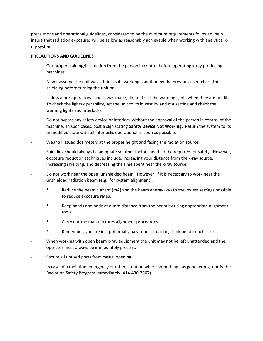precautions and operational guidelines, considered to be the minimum requirements followed, help insure that radiation exposures will be as low as reasonably achievable when working with analytical xray systems.

#### **PRECAUTIONS AND GUIDELINES**

- Get proper training/instruction from the person in control before operating x-ray producing machines.
- Never assume the unit was left in a safe working condition by the previous user, check the shielding before turning the unit on.
- Unless a pre-operational check was made, do not trust the warning lights when they are not lit. To check the lights operability, set the unit to its lowest kV and mA setting and check the warning lights and interlocks.
- Do not bypass any safety device or interlock without the approval of the person in control of the machine. In such cases, post a sign stating **Safety Device Not Working.** Return the system to its unmodified state with all interlocks operational as soon as possible.
- Wear all issued dosimeters at the proper height and facing the radiation source.
- Shielding should always be adequate so other factors need not be required for safety. However, exposure reduction techniques include, increasing your distance from the x-ray source, increasing shielding, and decreasing the time spent near the x-ray source.
- Do not work near the open, unshielded beam. However, if it is necessary to work near the unshielded radiation beam (e.g., for system alignment):
	- \* Reduce the beam current (mA) and the beam energy (kV) to the lowest settings possible to reduce exposure rates.
	- \* Keep hands and body at a safe distance from the beam by using appropriate alignment tools.
	- \* Carry out the manufactures alignment procedures.
	- \* Remember, you are in a potentially hazardous situation, think before each step.
- When working with open beam x-ray equipment the unit may not be left unattended and the operator must always be immediately present.
- Secure all unused ports from casual opening.
- In case of a radiation emergency or other situation where something has gone wrong, notify the Radiation Safety Program immediately (414-430-7507).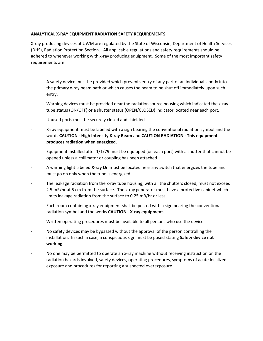#### **ANALYTICAL X-RAY EQUIPMENT RADIATION SAFETY REQUIREMENTS**

X-ray producing devices at UWM are regulated by the State of Wisconsin, Department of Health Services (DHS), Radiation Protection Section. All applicable regulations and safety requirements should be adhered to whenever working with x-ray producing equipment. Some of the most important safety requirements are:

- A safety device must be provided which prevents entry of any part of an individual's body into the primary x-ray beam path or which causes the beam to be shut off immediately upon such entry.
- Warning devices must be provided near the radiation source housing which indicated the x-ray tube status (ON/OFF) or a shutter status (OPEN/CLOSED) indicator located near each port.
- Unused ports must be securely closed and shielded.
- X-ray equipment must be labeled with a sign bearing the conventional radiation symbol and the words **CAUTION - High Intensity X-ray Beam** and **CAUTION RADIATION - This equipment produces radiation when energized.**
- Equipment installed after 1/1/79 must be equipped (on each port) with a shutter that cannot be opened unless a collimator or coupling has been attached.
- A warning light labeled **X-ray On** must be located near any switch that energizes the tube and must go on only when the tube is energized.
- The leakage radiation from the x-ray tube housing, with all the shutters closed, must not exceed 2.5 mR/hr at 5 cm from the surface. The x-ray generator must have a protective cabinet which limits leakage radiation from the surface to 0.25 mR/hr or less.
- Each room containing x-ray equipment shall be posted with a sign bearing the conventional radiation symbol and the works **CAUTION - X-ray equipment**.
- Written operating procedures must be available to all persons who use the device.
- No safety devices may be bypassed without the approval of the person controlling the installation. In such a case, a conspicuous sign must be posed stating **Safety device not working**.
- No one may be permitted to operate an x-ray machine without receiving instruction on the radiation hazards involved, safety devices, operating procedures, symptoms of acute localized exposure and procedures for reporting a suspected overexposure.